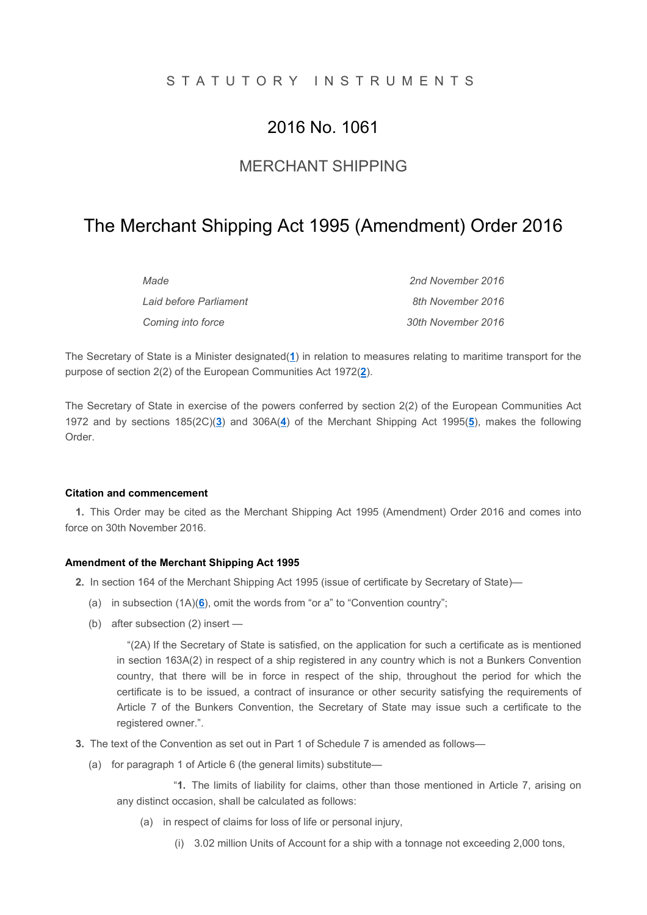# S T A T U T O R Y I N S T R U M E N T S

# 2016 No. 1061

# MERCHANT SHIPPING

# The Merchant Shipping Act 1995 (Amendment) Order 2016

| Made                   | 2nd November 2016  |
|------------------------|--------------------|
| Laid before Parliament | 8th November 2016  |
| Coming into force      | 30th November 2016 |

The Secretary of State is a Minister designated(1) in relation to measures relating to maritime transport for the purpose of section 2(2) of the European Communities Act 1972(2).

The Secretary of State in exercise of the powers conferred by section 2(2) of the European Communities Act 1972 and by sections  $185(2C)(3)$  and  $306A(4)$  of the Merchant Shipping Act 1995(5), makes the following Order.

#### Citation and commencement

1. This Order may be cited as the Merchant Shipping Act 1995 (Amendment) Order 2016 and comes into force on 30th November 2016.

#### Amendment of the Merchant Shipping Act 1995

- 2. In section 164 of the Merchant Shipping Act 1995 (issue of certificate by Secretary of State)—
	- (a) in subsection  $(1A)(6)$ , omit the words from "or a" to "Convention country";
	- (b) after subsection (2) insert —

"(2A) If the Secretary of State is satisfied, on the application for such a certificate as is mentioned in section 163A(2) in respect of a ship registered in any country which is not a Bunkers Convention country, that there will be in force in respect of the ship, throughout the period for which the certificate is to be issued, a contract of insurance or other security satisfying the requirements of Article 7 of the Bunkers Convention, the Secretary of State may issue such a certificate to the registered owner.".

- 3. The text of the Convention as set out in Part 1 of Schedule 7 is amended as follows—
	- (a) for paragraph 1 of Article 6 (the general limits) substitute—

"1. The limits of liability for claims, other than those mentioned in Article 7, arising on any distinct occasion, shall be calculated as follows:

- (a) in respect of claims for loss of life or personal injury,
	- (i) 3.02 million Units of Account for a ship with a tonnage not exceeding 2,000 tons,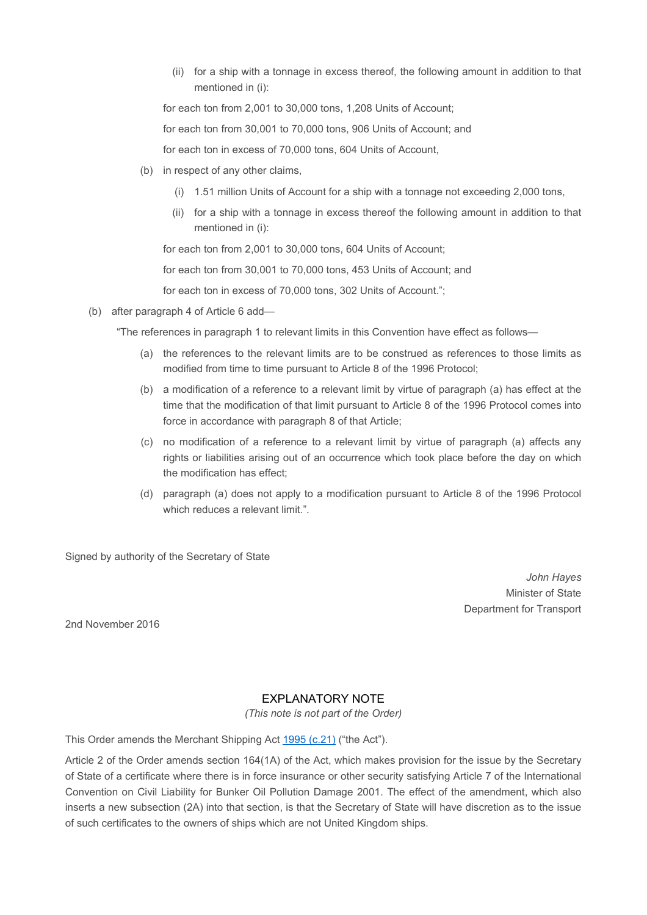(ii) for a ship with a tonnage in excess thereof, the following amount in addition to that mentioned in (i):

for each ton from 2,001 to 30,000 tons, 1,208 Units of Account;

for each ton from 30,001 to 70,000 tons, 906 Units of Account; and

for each ton in excess of 70,000 tons, 604 Units of Account,

- (b) in respect of any other claims,
	- (i) 1.51 million Units of Account for a ship with a tonnage not exceeding 2,000 tons,
	- (ii) for a ship with a tonnage in excess thereof the following amount in addition to that mentioned in (i):

for each ton from 2,001 to 30,000 tons, 604 Units of Account;

for each ton from 30,001 to 70,000 tons, 453 Units of Account; and

for each ton in excess of 70,000 tons, 302 Units of Account.";

(b) after paragraph 4 of Article 6 add—

"The references in paragraph 1 to relevant limits in this Convention have effect as follows—

- (a) the references to the relevant limits are to be construed as references to those limits as modified from time to time pursuant to Article 8 of the 1996 Protocol;
- (b) a modification of a reference to a relevant limit by virtue of paragraph (a) has effect at the time that the modification of that limit pursuant to Article 8 of the 1996 Protocol comes into force in accordance with paragraph 8 of that Article;
- (c) no modification of a reference to a relevant limit by virtue of paragraph (a) affects any rights or liabilities arising out of an occurrence which took place before the day on which the modification has effect;
- (d) paragraph (a) does not apply to a modification pursuant to Article 8 of the 1996 Protocol which reduces a relevant limit.".

Signed by authority of the Secretary of State

John Hayes Minister of State Department for Transport

2nd November 2016

## EXPLANATORY NOTE

(This note is not part of the Order)

This Order amends the Merchant Shipping Act 1995 (c.21) ("the Act").

Article 2 of the Order amends section 164(1A) of the Act, which makes provision for the issue by the Secretary of State of a certificate where there is in force insurance or other security satisfying Article 7 of the International Convention on Civil Liability for Bunker Oil Pollution Damage 2001. The effect of the amendment, which also inserts a new subsection (2A) into that section, is that the Secretary of State will have discretion as to the issue of such certificates to the owners of ships which are not United Kingdom ships.